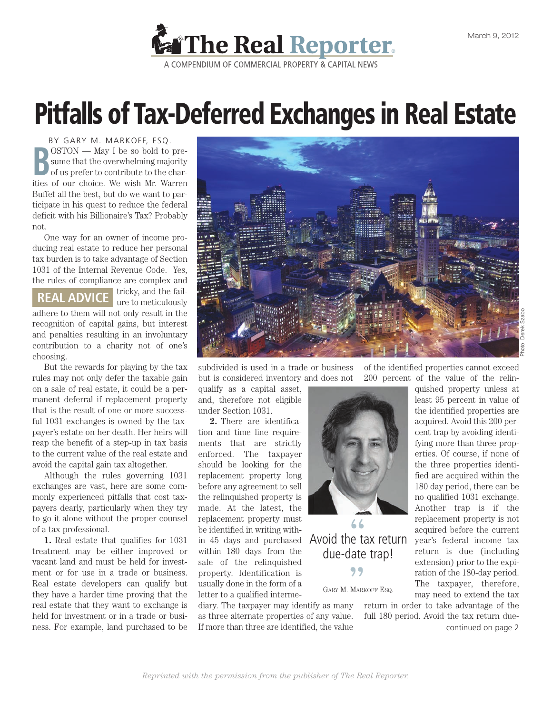

## Pitfalls of Tax-Deferred Exchanges in Real Estate

BY GARY M. MARKOFF, ESQ. **B B osTON** — May I be so bold to presume that the overwhelming majority<br>
of us prefer to contribute to the char-<br>
ities of our choice. We wish Mr. Warren OSTON — May I be so bold to presume that the overwhelming majority of us prefer to contribute to the char-Buffet all the best, but do we want to participate in his quest to reduce the federal deficit with his Billionaire's Tax? Probably not.

One way for an owner of income producing real estate to reduce her personal tax burden is to take advantage of Section 1031 of the Internal Revenue Code. Yes, the rules of compliance are complex and

tricky, and the fail-**REAL ADVICE** and the lanadhere to them will not only result in the recognition of capital gains, but interest and penalties resulting in an involuntary contribution to a charity not of one's choosing.

But the rewards for playing by the tax rules may not only defer the taxable gain on a sale of real estate, it could be a permanent deferral if replacement property that is the result of one or more successful 1031 exchanges is owned by the taxpayer's estate on her death. Her heirs will reap the benefit of a step-up in tax basis to the current value of the real estate and avoid the capital gain tax altogether.

Although the rules governing 1031 exchanges are vast, here are some commonly experienced pitfalls that cost taxpayers dearly, particularly when they try to go it alone without the proper counsel of a tax professional.

**1.** Real estate that qualifies for 1031 treatment may be either improved or vacant land and must be held for investment or for use in a trade or business. Real estate developers can qualify but they have a harder time proving that the real estate that they want to exchange is held for investment or in a trade or business. For example, land purchased to be



subdivided is used in a trade or business but is considered inventory and does not

qualify as a capital asset, and, therefore not eligible under Section 1031.

**2.** There are identification and time line requirements that are strictly enforced. The taxpayer should be looking for the replacement property long before any agreement to sell the relinquished property is made. At the latest, the replacement property must be identified in writing within 45 days and purchased within 180 days from the sale of the relinquished property. Identification is usually done in the form of a letter to a qualified interme-

as three alternate properties of any value. If more than three are identified, the value

*Reprinted with the permission from the publisher of The Real Reporter.*

of the identified properties cannot exceed 200 percent of the value of the relin-

quished property unless at least 95 percent in value of the identified properties are acquired. Avoid this 200 percent trap by avoiding identifying more than three properties. Of course, if none of the three properties identified are acquired within the 180 day period, there can be no qualified 1031 exchange. Another trap is if the replacement property is not acquired before the current year's federal income tax return is due (including Avoid the tax return **"** due-date trap!

**"**

## GARY M. MARKOFF ESQ.

diary. The taxpayer may identify as many return in order to take advantage of the full 180 period. Avoid the tax return duecontinued on page 2

extension) prior to the expiration of the 180-day period. The taxpayer, therefore, may need to extend the tax